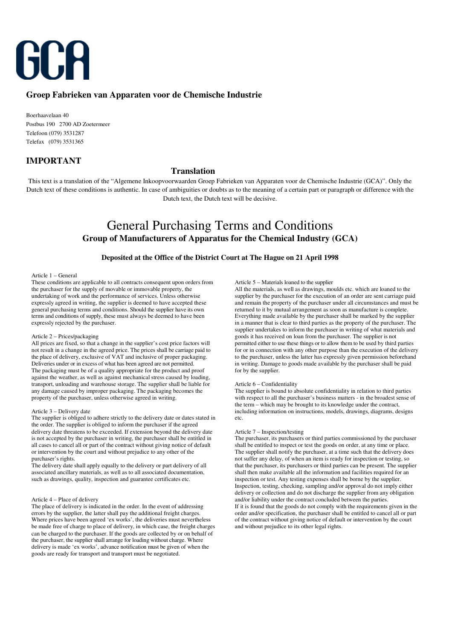

# **Groep Fabrieken van Apparaten voor de Chemische Industrie**

Boerhaavelaan 40 Postbus 190 2700 AD Zoetermeer Telefoon (079) 3531287 Telefax (079) 3531365

# **IMPORTANT**

## **Translation**

This text is a translation of the "Algemene Inkoopvoorwaarden Groep Fabrieken van Apparaten voor de Chemische Industrie (GCA)". Only the Dutch text of these conditions is authentic. In case of ambiguities or doubts as to the meaning of a certain part or paragraph or difference with the Dutch text, the Dutch text will be decisive.

# General Purchasing Terms and Conditions **Group of Manufacturers of Apparatus for the Chemical Industry (GCA)**

## **Deposited at the Office of the District Court at The Hague on 21 April 1998**

## Article 1 – General

These conditions are applicable to all contracts consequent upon orders from the purchaser for the supply of movable or immovable property, the undertaking of work and the performance of services. Unless otherwise expressly agreed in writing, the supplier is deemed to have accepted these general purchasing terms and conditions. Should the supplier have its own terms and conditions of supply, these must always be deemed to have been expressly rejected by the purchaser.

## Article 2 – Prices/packaging

All prices are fixed, so that a change in the supplier's cost price factors will not result in a change in the agreed price. The prices shall be carriage paid to the place of delivery, exclusive of VAT and inclusive of proper packaging. Deliveries under or in excess of what has been agreed are not permitted. The packaging must be of a quality appropriate for the product and proof against the weather, as well as against mechanical stress caused by loading, transport, unloading and warehouse storage. The supplier shall be liable for any damage caused by improper packaging. The packaging becomes the property of the purchaser, unless otherwise agreed in writing.

## Article 3 – Delivery date

The supplier is obliged to adhere strictly to the delivery date or dates stated in the order. The supplier is obliged to inform the purchaser if the agreed delivery date threatens to be exceeded. If extension beyond the delivery date is not accepted by the purchaser in writing, the purchaser shall be entitled in all cases to cancel all or part of the contract without giving notice of default or intervention by the court and without prejudice to any other of the purchaser's rights.

The delivery date shall apply equally to the delivery or part delivery of all associated ancillary materials, as well as to all associated documentation, such as drawings, quality, inspection and guarantee certificates etc.

#### Article 4 – Place of delivery

The place of delivery is indicated in the order. In the event of addressing errors by the supplier, the latter shall pay the additional freight charges. Where prices have been agreed 'ex works', the deliveries must nevertheless be made free of charge to place of delivery, in which case, the freight charges can be charged to the purchaser. If the goods are collected by or on behalf of the purchaser, the supplier shall arrange for loading without charge. Where delivery is made 'ex works', advance notification must be given of when the goods are ready for transport and transport must be negotiated.

#### Article 5 – Materials loaned to the supplier

All the materials, as well as drawings, moulds etc. which are loaned to the supplier by the purchaser for the execution of an order are sent carriage paid and remain the property of the purchaser under all circumstances and must be returned to it by mutual arrangement as soon as manufacture is complete. Everything made available by the purchaser shall be marked by the supplier in a manner that is clear to third parties as the property of the purchaser. The supplier undertakes to inform the purchaser in writing of what materials and goods it has received on loan from the purchaser. The supplier is not permitted either to use these things or to allow them to be used by third parties for or in connection with any other purpose than the execution of the delivery to the purchaser, unless the latter has expressly given permission beforehand in writing. Damage to goods made available by the purchaser shall be paid for by the supplier.

#### Article 6 – Confidentiality

The supplier is bound to absolute confidentiality in relation to third parties with respect to all the purchaser's business matters - in the broadest sense of the term – which may be brought to its knowledge under the contract, including information on instructions, models, drawings, diagrams, designs etc.

## Article 7 – Inspection/testing

The purchaser, its purchasers or third parties commissioned by the purchaser shall be entitled to inspect or test the goods on order, at any time or place. The supplier shall notify the purchaser, at a time such that the delivery does not suffer any delay, of when an item is ready for inspection or testing, so that the purchaser, its purchasers or third parties can be present. The supplier shall then make available all the information and facilities required for an inspection or test. Any testing expenses shall be borne by the supplier. Inspection, testing, checking, sampling and/or approval do not imply either delivery or collection and do not discharge the supplier from any obligation and/or liability under the contract concluded between the parties. If it is found that the goods do not comply with the requirements given in the order and/or specification, the purchaser shall be entitled to cancel all or part of the contract without giving notice of default or intervention by the court and without prejudice to its other legal rights.